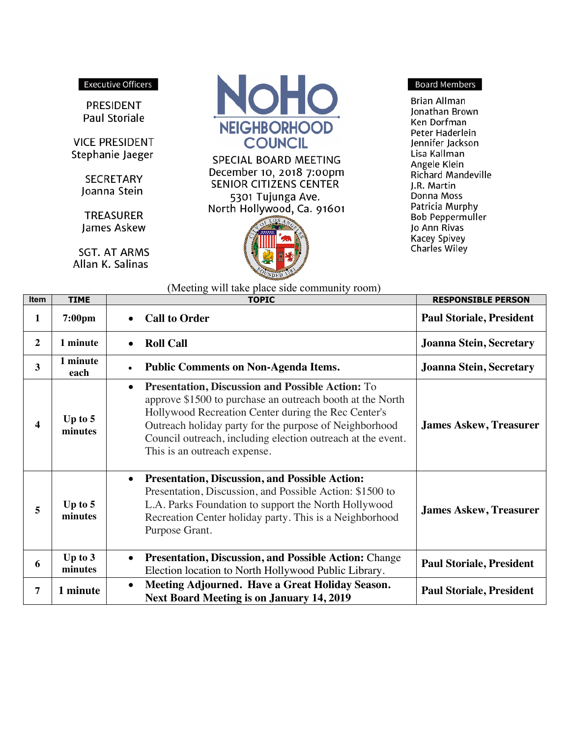## **Executive Officers**

PRESIDENT Paul Storiale

**VICE PRESIDENT** Stephanie Jaeger

> **SECRETARY** Joanna Stein

**TREASURER** James Askew

**SGT. AT ARMS** Allan K. Salinas



SPECIAL BOARD MEETING December 10, 2018 7:00pm SENIOR CITIZENS CENTER 5301 Tujunga Ave. North Hollywood, Ca. 91601



## **Board Members**

**Brian Allman** Jonathan Brown Ken Dorfman Peter Haderlein Jennifer Jackson Lisa Kallman Angele Klein Richard Mandeville J.R. Martin Donna Moss Patricia Murphy **Bob Peppermuller** Jo Ann Rivas **Kacey Spivey** Charles Wiley

| <b>Item</b>    | <b>TIME</b>          | <b>TOPIC</b>                                                                                                                                                                                                                                                                                                                                      | <b>RESPONSIBLE PERSON</b>       |
|----------------|----------------------|---------------------------------------------------------------------------------------------------------------------------------------------------------------------------------------------------------------------------------------------------------------------------------------------------------------------------------------------------|---------------------------------|
| 1              | $7:00 \text{pm}$     | <b>Call to Order</b><br>$\bullet$                                                                                                                                                                                                                                                                                                                 | <b>Paul Storiale, President</b> |
| $\overline{2}$ | 1 minute             | <b>Roll Call</b><br>$\bullet$                                                                                                                                                                                                                                                                                                                     | <b>Joanna Stein, Secretary</b>  |
| 3              | 1 minute<br>each     | <b>Public Comments on Non-Agenda Items.</b><br>$\bullet$                                                                                                                                                                                                                                                                                          | <b>Joanna Stein, Secretary</b>  |
| 4              | Up to $5$<br>minutes | <b>Presentation, Discussion and Possible Action: To</b><br>$\bullet$<br>approve \$1500 to purchase an outreach booth at the North<br>Hollywood Recreation Center during the Rec Center's<br>Outreach holiday party for the purpose of Neighborhood<br>Council outreach, including election outreach at the event.<br>This is an outreach expense. | <b>James Askew, Treasurer</b>   |
| 5              | Up to $5$<br>minutes | <b>Presentation, Discussion, and Possible Action:</b><br>$\bullet$<br>Presentation, Discussion, and Possible Action: \$1500 to<br>L.A. Parks Foundation to support the North Hollywood<br>Recreation Center holiday party. This is a Neighborhood<br>Purpose Grant.                                                                               | <b>James Askew, Treasurer</b>   |
| 6              | Up to $3$<br>minutes | <b>Presentation, Discussion, and Possible Action: Change</b><br>$\bullet$<br>Election location to North Hollywood Public Library.                                                                                                                                                                                                                 | <b>Paul Storiale, President</b> |
| 7              | 1 minute             | Meeting Adjourned. Have a Great Holiday Season.<br>$\bullet$<br><b>Next Board Meeting is on January 14, 2019</b>                                                                                                                                                                                                                                  | <b>Paul Storiale, President</b> |